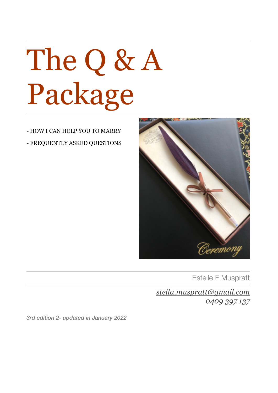# The Q & A Package

- HOW I CAN HELP YOU TO MARRY - FREQUENTLY ASKED QUESTIONS



Estelle F Muspratt

*[stella.muspratt@gmail.com](mailto:stella.muspratt@gmail.com) 0409 397 137*

*3rd edition 2- updated in January 2022*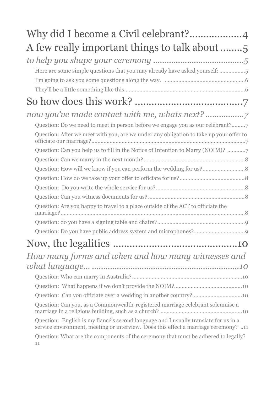| A few really important things to talk about                                                                                                                                 |  |  |
|-----------------------------------------------------------------------------------------------------------------------------------------------------------------------------|--|--|
|                                                                                                                                                                             |  |  |
| Here are some simple questions that you may already have asked yourself: 5                                                                                                  |  |  |
|                                                                                                                                                                             |  |  |
|                                                                                                                                                                             |  |  |
|                                                                                                                                                                             |  |  |
|                                                                                                                                                                             |  |  |
| Question: Do we need to meet in person before we engage you as our celebrant?7                                                                                              |  |  |
| Question: After we meet with you, are we under any obligation to take up your offer to                                                                                      |  |  |
| Question: Can you help us to fill in the Notice of Intention to Marry (NOIM)?                                                                                               |  |  |
|                                                                                                                                                                             |  |  |
|                                                                                                                                                                             |  |  |
|                                                                                                                                                                             |  |  |
|                                                                                                                                                                             |  |  |
|                                                                                                                                                                             |  |  |
| Question: Are you happy to travel to a place outside of the ACT to officiate the                                                                                            |  |  |
|                                                                                                                                                                             |  |  |
|                                                                                                                                                                             |  |  |
|                                                                                                                                                                             |  |  |
| How many forms and when and how many witnesses and                                                                                                                          |  |  |
|                                                                                                                                                                             |  |  |
|                                                                                                                                                                             |  |  |
|                                                                                                                                                                             |  |  |
|                                                                                                                                                                             |  |  |
| Question: Can you, as a Commonwealth-registered marriage celebrant solemnise a                                                                                              |  |  |
| Question: English is my fiancé's second language and I usually translate for us in a<br>service environment, meeting or interview. Does this effect a marriage ceremony? 11 |  |  |
| Question: What are the components of the ceremony that must be adhered to legally?<br>11                                                                                    |  |  |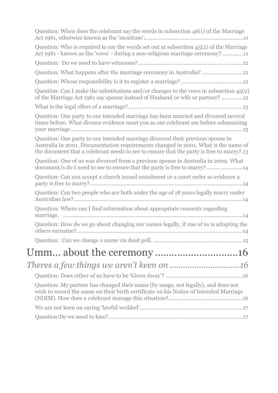| Question: When does the celebrant say the words in subsection 46(1) of the Marriage                                                                                                                                                                              |
|------------------------------------------------------------------------------------------------------------------------------------------------------------------------------------------------------------------------------------------------------------------|
| Question: Who is required to say the words set out at subsection $45(2)$ of the Marriage<br>Act 1961 - known as the 'vows' - during a non-religious marriage ceremony? 11                                                                                        |
|                                                                                                                                                                                                                                                                  |
| Question: What happens after the marriage ceremony in Australia? 12                                                                                                                                                                                              |
|                                                                                                                                                                                                                                                                  |
| Question: Can I make the substitutions and/or changes to the vows in subsection 45(2)<br>of the Marriage Act 1961 say spouse instead of Husband or wife or partner? 12                                                                                           |
|                                                                                                                                                                                                                                                                  |
| Question: One party to our intended marriage has been married and divorced several<br>times before. What divorce evidence must you as our celebrant see before solemnizing                                                                                       |
| Question: One party to our intended marriage divorced their previous spouse in<br>Australia in 2001. Documentation requirements changed in 2001. What is the name of<br>the document that a celebrant needs to see to ensure that the party is free to marry?.13 |
| Question: One of us was divorced from a previous spouse in Australia in 2009. What<br>document/s do I need to see to ensure that the party is free to marry?14                                                                                                   |
| Question: Can you accept a church issued annulment or a court order as evidence a                                                                                                                                                                                |
| Question: Can two people who are both under the age of 18 years legally marry under                                                                                                                                                                              |
| Question: Where can I find information about appropriate consents regarding                                                                                                                                                                                      |
| Question: How do we go about changing our names legally, if one of us is adopting the                                                                                                                                                                            |
|                                                                                                                                                                                                                                                                  |
| Umm about the ceremony 16                                                                                                                                                                                                                                        |
|                                                                                                                                                                                                                                                                  |
|                                                                                                                                                                                                                                                                  |
| Question: My partner has changed their name (by usage, not legally), and does not<br>wish to record the name on their birth certificate on his Notice of Intended Marriage                                                                                       |
|                                                                                                                                                                                                                                                                  |
|                                                                                                                                                                                                                                                                  |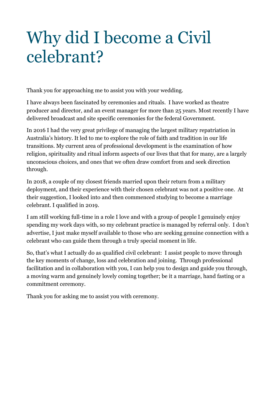# Why did I become a Civil celebrant?

Thank you for approaching me to assist you with your wedding.

I have always been fascinated by ceremonies and rituals. I have worked as theatre producer and director, and an event manager for more than 25 years. Most recently I have delivered broadcast and site specific ceremonies for the federal Government.

In 2016 I had the very great privilege of managing the largest military repatriation in Australia's history. It led to me to explore the role of faith and tradition in our life transitions. My current area of professional development is the examination of how religion, spirituality and ritual inform aspects of our lives that that for many, are a largely unconscious choices, and ones that we often draw comfort from and seek direction through.

In 2018, a couple of my closest friends married upon their return from a military deployment, and their experience with their chosen celebrant was not a positive one. At their suggestion, I looked into and then commenced studying to become a marriage celebrant. I qualified in 2019.

I am still working full-time in a role I love and with a group of people I genuinely enjoy spending my work days with, so my celebrant practice is managed by referral only. I don't advertise, I just make myself available to those who are seeking genuine connection with a celebrant who can guide them through a truly special moment in life.

So, that's what I actually do as qualified civil celebrant: I assist people to move through the key moments of change, loss and celebration and joining. Through professional facilitation and in collaboration with you, I can help you to design and guide you through, a moving warm and genuinely lovely coming together; be it a marriage, hand fasting or a commitment ceremony.

Thank you for asking me to assist you with ceremony.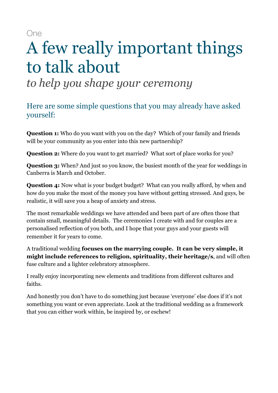One

# A few really important things to talk about

*to help you shape your ceremony* 

Here are some simple questions that you may already have asked yourself:

**Question 1:** Who do you want with you on the day? Which of your family and friends will be your community as you enter into this new partnership?

**Question 2:** Where do you want to get married? What sort of place works for you?

**Question 3:** When? And just so you know, the busiest month of the year for weddings in Canberra is March and October.

**Question 4:** Now what is your budget budget? What can you really afford, by when and how do you make the most of the money you have without getting stressed. And guys, be realistic, it will save you a heap of anxiety and stress.

The most remarkable weddings we have attended and been part of are often those that contain small, meaningful details. The ceremonies I create with and for couples are a personalised reflection of you both, and I hope that your guys and your guests will remember it for years to come.

A traditional wedding **focuses on the marrying couple. It can be very simple, it might include references to religion, spirituality, their heritage/s**, and will often fuse culture and a lighter celebratory atmosphere.

I really enjoy incorporating new elements and traditions from different cultures and faiths.

And honestly you don't have to do something just because 'everyone' else does if it's not something you want or even appreciate. Look at the traditional wedding as a framework that you can either work within, be inspired by, or eschew!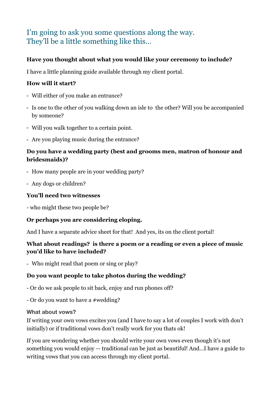#### I'm going to ask you some questions along the way. They'll be a little something like this…

#### **Have you thought about what you would like your ceremony to include?**

I have a little planning guide available through my client portal.

#### **How will it start?**

- Will either of you make an entrance?
- Is one to the other of you walking down an isle to the other? Will you be accompanied by someone?
- Will you walk together to a certain point.
- Are you playing music during the entrance?

#### **Do you have a wedding party (best and grooms men, matron of honour and bridesmaids)?**

- How many people are in your wedding party?
- Any dogs or children?

#### **You'll need two witnesses**

- who might these two people be?

#### **Or perhaps you are considering eloping.**

And I have a separate advice sheet for that! And yes, its on the client portal!

#### **What about readings? is there a poem or a reading or even a piece of music you'd like to have included?**

- Who might read that poem or sing or play?

#### **Do you want people to take photos during the wedding?**

- Or do we ask people to sit back, enjoy and run phones off?

- Or do you want to have a #wedding?

#### **What about vows?**

If writing your own vows excites you (and I have to say a lot of couples I work with don't initially) or if traditional vows don't really work for you thats ok!

If you are wondering whether you should write your own vows even though it's not something you would enjoy — traditional can be just as beautiful! And…I have a guide to writing vows that you can access through my client portal.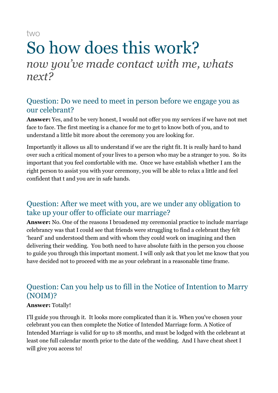two

### So how does this work? *now you've made contact with me, whats next?*

#### Question: Do we need to meet in person before we engage you as our celebrant?

**Answer:** Yes, and to be very honest, I would not offer you my services if we have not met face to face. The first meeting is a chance for me to get to know both of you, and to understand a little bit more about the ceremony you are looking for.

Importantly it allows us all to understand if we are the right fit. It is really hard to hand over such a critical moment of your lives to a person who may be a stranger to you. So its important that you feel comfortable with me. Once we have establish whether I am the right person to assist you with your ceremony, you will be able to relax a little and feel confident that t and you are in safe hands.

#### Question: After we meet with you, are we under any obligation to take up your offer to officiate our marriage?

**Answer:** No. One of the reasons I broadened my ceremonial practice to include marriage celebrancy was that I could see that friends were struggling to find a celebrant they felt 'heard' and understood them and with whom they could work on imagining and then delivering their wedding. You both need to have absolute faith in the person you choose to guide you through this important moment. I will only ask that you let me know that you have decided not to proceed with me as your celebrant in a reasonable time frame.

#### Question: Can you help us to fill in the Notice of Intention to Marry (NOIM)?

#### **Answer:** Totally!

I'll guide you through it. It looks more complicated than it is. When you've chosen your celebrant you can then complete the Notice of Intended Marriage form. A Notice of Intended Marriage is valid for up to 18 months, and must be lodged with the celebrant at least one full calendar month prior to the date of the wedding. And I have cheat sheet I will give you access to!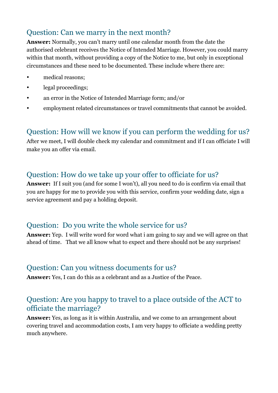#### Question: Can we marry in the next month?

**Answer:** Normally, you can't marry until one calendar month from the date the authorised celebrant receives the Notice of Intended Marriage. However, you could marry within that month, without providing a copy of the Notice to me, but only in exceptional circumstances and these need to be documented. These include where there are:

- medical reasons:
- legal proceedings;
- an error in the Notice of Intended Marriage form; and/or
- employment related circumstances or travel commitments that cannot be avoided.

#### Question: How will we know if you can perform the wedding for us?

After we meet, I will double check my calendar and commitment and if I can officiate I will make you an offer via email.

#### Question: How do we take up your offer to officiate for us?

**Answer:** If I suit you (and for some I won't), all you need to do is confirm via email that you are happy for me to provide you with this service, confirm your wedding date, sign a service agreement and pay a holding deposit.

#### Question: Do you write the whole service for us?

**Answer:** Yep. I will write word for word what i am going to say and we will agree on that ahead of time. That we all know what to expect and there should not be any surprises!

#### Question: Can you witness documents for us?

**Answer:** Yes, I can do this as a celebrant and as a Justice of the Peace.

#### Question: Are you happy to travel to a place outside of the ACT to officiate the marriage?

**Answer:** Yes, as long as it is within Australia, and we come to an arrangement about covering travel and accommodation costs, I am very happy to officiate a wedding pretty much anywhere.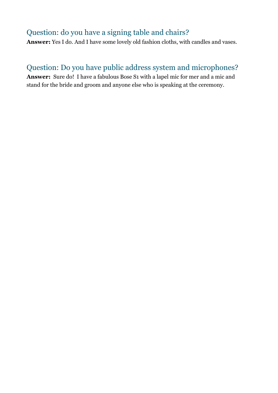#### Question: do you have a signing table and chairs?

**Answer:** Yes I do. And I have some lovely old fashion cloths, with candles and vases.

#### Question: Do you have public address system and microphones?

**Answer:** Sure do! I have a fabulous Bose S1 with a lapel mic for mer and a mic and stand for the bride and groom and anyone else who is speaking at the ceremony.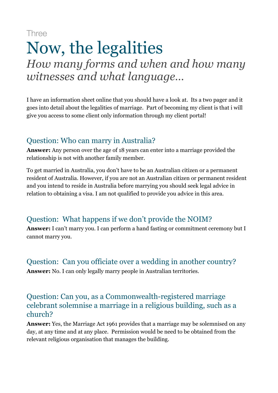Three

### Now, the legalities *How many forms and when and how many witnesses and what language…*

I have an information sheet online that you should have a look at. Its a two pager and it goes into detail about the legalities of marriage. Part of becoming my client is that i will give you access to some client only information through my client portal!

#### Question: Who can marry in Australia?

**Answer:** Any person over the age of 18 years can enter into a marriage provided the relationship is not with another family member.

To get married in Australia, you don't have to be an Australian citizen or a permanent resident of Australia. However, if you are not an Australian citizen or permanent resident and you intend to reside in Australia before marrying you should seek legal advice in relation to obtaining a visa. I am not qualified to provide you advice in this area.

#### Question: What happens if we don't provide the NOIM?

**Answer:** I can't marry you. I can perform a hand fasting or commitment ceremony but I cannot marry you.

Question: Can you officiate over a wedding in another country? **Answer:** No. I can only legally marry people in Australian territories.

#### Question: Can you, as a Commonwealth-registered marriage celebrant solemnise a marriage in a religious building, such as a church?

**Answer:** Yes, the Marriage Act 1961 provides that a marriage may be solemnised on any day, at any time and at any place. Permission would be need to be obtained from the relevant religious organisation that manages the building.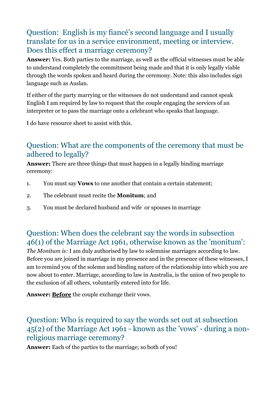#### Question: English is my fiancé's second language and I usually translate for us in a service environment, meeting or interview. Does this effect a marriage ceremony?

**Answer:** Yes. Both parties to the marriage, as well as the official witnesses must be able to understand completely the commitment being made and that it is only legally viable through the words spoken and heard during the ceremony. Note: this also includes sign language such as Auslan.

If either of the party marrying or the witnesses do not understand and cannot speak English I am required by law to request that the couple engaging the services of an interpreter or to pass the marriage onto a celebrant who speaks that language.

I do have resource sheet to assist with this.

#### Question: What are the components of the ceremony that must be adhered to legally?

**Answer:** There are three things that must happen in a legally binding marriage ceremony:

- 1. You must say **Vows** to one another that contain a certain statement;
- 2. The celebrant must recite the **Monitum**; and
- 3. You must be declared husband and wife or spouses in marriage

#### Question: When does the celebrant say the words in subsection 46(1) of the Marriage Act 1961, otherwise known as the 'monitum':

*The Monitum is:* I am duly authorised by law to solemnise marriages according to law. Before you are joined in marriage in my presence and in the presence of these witnesses, I am to remind you of the solemn and binding nature of the relationship into which you are now about to enter. Marriage, according to law in Australia, is the union of two people to the exclusion of all others, voluntarily entered into for life.

**Answer: Before** the couple exchange their vows.

#### Question: Who is required to say the words set out at subsection 45(2) of the Marriage Act 1961 - known as the 'vows' - during a nonreligious marriage ceremony?

**Answer:** Each of the parties to the marriage; so both of you!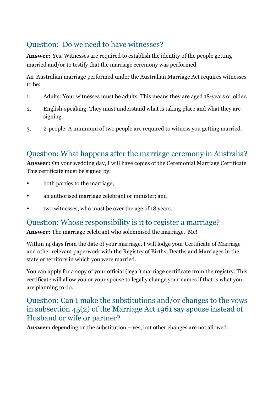#### Question: Do we need to have witnesses?

**Answer:** Yes. Witnesses are required to establish the identity of the people getting married and/or to testify that the marriage ceremony was performed.

An Australian marriage performed under the Australian Marriage Act requires witnesses to be:

- 1. Adults: Your witnesses must be adults. This means they are aged 18-years or older.
- 2. English-speaking: They must understand what is taking place and what they are signing.
- 3. 2-people: A minimum of two people are required to witness you getting married.

#### Question: What happens after the marriage ceremony in Australia?

**Answer:** On your wedding day, I will have copies of the Ceremonial Marriage Certificate. This certificate must be signed by:

- both parties to the marriage;
- an authorised marriage celebrant or minister; and
- two witnesses, who must be over the age of 18 years.

#### Question: Whose responsibility is it to register a marriage?

**Answer:** The marriage celebrant who solemnised the marriage. Me!

Within 14 days from the date of your marriage, I will lodge your Certificate of Marriage and other relevant paperwork with the Registry of Births, Deaths and Marriages in the state or territory in which you were married.

You can apply for a copy of your official (legal) marriage certificate from the registry. This certificate will allow you or your spouse to legally change your names if that is what you are planning to do.

#### Question: Can I make the substitutions and/or changes to the vows in subsection 45(2) of the Marriage Act 1961 say spouse instead of Husband or wife or partner?

**Answer:** depending on the substitution – yes, but other changes are not allowed.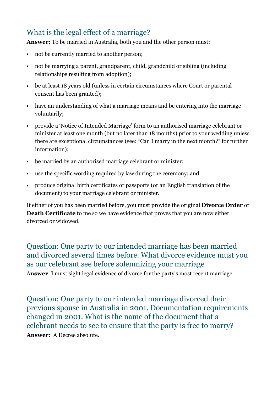#### What is the legal effect of a marriage?

**Answer:** To be married in Australia, both you and the other person must:

- not be currently married to another person;
- not be marrying a parent, grandparent, child, grandchild or sibling (including relationships resulting from adoption);
- be at least 18 years old (unless in certain circumstances where Court or parental consent has been granted);
- have an understanding of what a marriage means and be entering into the marriage voluntarily;
- provide a 'Notice of Intended Marriage' form to an authorised marriage celebrant or minister at least one month (but no later than 18 months) prior to your wedding unless there are exceptional circumstances (see: "Can I marry in the next month?" for further information);
- be married by an authorised marriage celebrant or minister;
- use the specific wording required by law during the ceremony; and
- produce original birth certificates or passports (or an English translation of the document) to your marriage celebrant or minister.

If either of you has been married before, you must provide the original **[Divorce Order](https://ivylawgroup.com.au/family-lawyers-sydney/divorce-lawyers-sydney/%22%20%5Ct%20%22_blank)** or **Death Certificate** to me so we have evidence that proves that you are now either divorced or widowed.

Question: One party to our intended marriage has been married and divorced several times before. What divorce evidence must you as our celebrant see before solemnizing your marriage A**nswer**: I must sight legal evidence of divorce for the party's most recent marriage.

Question: One party to our intended marriage divorced their previous spouse in Australia in 2001. Documentation requirements changed in 2001. What is the name of the document that a celebrant needs to see to ensure that the party is free to marry? **Answer:** A Decree absolute.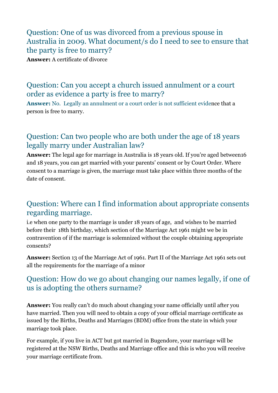#### Question: One of us was divorced from a previous spouse in Australia in 2009. What document/s do I need to see to ensure that the party is free to marry?

**Answer:** A certificate of divorce

#### Question: Can you accept a church issued annulment or a court order as evidence a party is free to marry?

**Answer:** No. Legally an annulment or a court order is not sufficient evidence that a person is free to marry.

#### Question: Can two people who are both under the age of 18 years legally marry under Australian law?

**Answer:** The legal age for marriage in Australia is 18 years old. If you're aged between16 and 18 years, you can get married with your parents' consent or by Court Order. Where consent to a marriage is given, the marriage must take place within three months of the date of consent.

#### Question: Where can I find information about appropriate consents regarding marriage.

i.e when one party to the marriage is under 18 years of age, and wishes to be married before their 18th birthday, which section of the Marriage Act 1961 might we be in contravention of if the marriage is solemnized without the couple obtaining appropriate consents?

**Answer:** Section 13 of the Marriage Act of 1961. Part II of the Marriage Act 1961 sets out all the requirements for the marriage of a minor

#### Question: How do we go about changing our names legally, if one of us is adopting the others surname?

**Answer:** You really can't do much about changing your name officially until after you have married. Then you will need to obtain a copy of your official marriage certificate as issued by the Births, Deaths and Marriages (BDM) office from the state in which your marriage took place.

For example, if you live in ACT but got married in Bugendore, your marriage will be registered at the NSW Births, Deaths and Marriage office and this is who you will receive your marriage certificate from.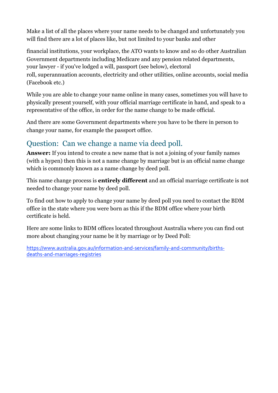Make a list of all the places where your name needs to be changed and unfortunately you will find there are a lot of places like, but not limited to your banks and other

financial institutions, your workplace, the ATO wants to know and so do other Australian Government departments including Medicare and any pension related departments, your lawyer - if you've lodged a will, passport (see below), electoral

roll, superannuation accounts, electricity and other utilities, online accounts, social media (Facebook etc.)

While you are able to change your name online in many cases, sometimes you will have to physically present yourself, with your official marriage certificate in hand, and speak to a representative of the office, in order for the name change to be made official.

And there are some Government departments where you have to be there in person to change your name, for example the passport office.

#### Question: Can we change a name via deed poll.

**Answer:** If you intend to create a new name that is not a joining of your family names (with a hypen) then this is not a name change by marriage but is an official name change which is commonly known as a name change by deed poll.

This name change process is **entirely different** and an official marriage certificate is not needed to change your name by deed poll.

To find out how to apply to change your name by deed poll you need to contact the BDM office in the state where you were born as this if the BDM office where your birth certificate is held.

Here are some links to BDM offices located throughout Australia where you can find out more about changing your name be it by marriage or by Deed Poll:

[https://www.australia.gov.au/information-and-services/family-and-community/births](https://www.australia.gov.au/information-and-services/fam)deaths-and-marriages-registries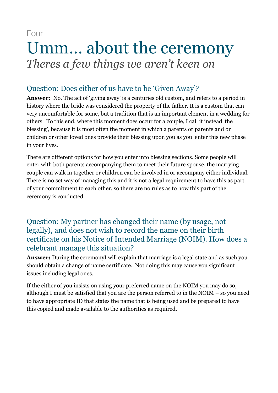Four

## Umm… about the ceremony *Theres a few things we aren't keen on*

#### Question: Does either of us have to be 'Given Away'?

**Answer:** No. The act of 'giving away' is a centuries old custom, and refers to a period in history where the bride was considered the property of the father. It is a custom that can very uncomfortable for some, but a tradition that is an important element in a wedding for others. To this end, where this moment does occur for a couple, I call it instead 'the blessing', because it is most often the moment in which a parents or parents and or children or other loved ones provide their blessing upon you as you enter this new phase in your lives.

There are different options for how you enter into blessing sections. Some people will enter with both parents accompanying them to meet their future spouse, the marrying couple can walk in together or children can be involved in or accompany either individual. There is no set way of managing this and it is not a legal requirement to have this as part of your commitment to each other, so there are no rules as to how this part of the ceremony is conducted.

#### Question: My partner has changed their name (by usage, not legally), and does not wish to record the name on their birth certificate on his Notice of Intended Marriage (NOIM). How does a celebrant manage this situation?

**Answer:** During the ceremonyI will explain that marriage is a legal state and as such you should obtain a change of name certificate. Not doing this may cause you significant issues including legal ones.

If the either of you insists on using your preferred name on the NOIM you may do so, although I must be satisfied that you are the person referred to in the NOIM – so you need to have appropriate ID that states the name that is being used and be prepared to have this copied and made available to the authorities as required.